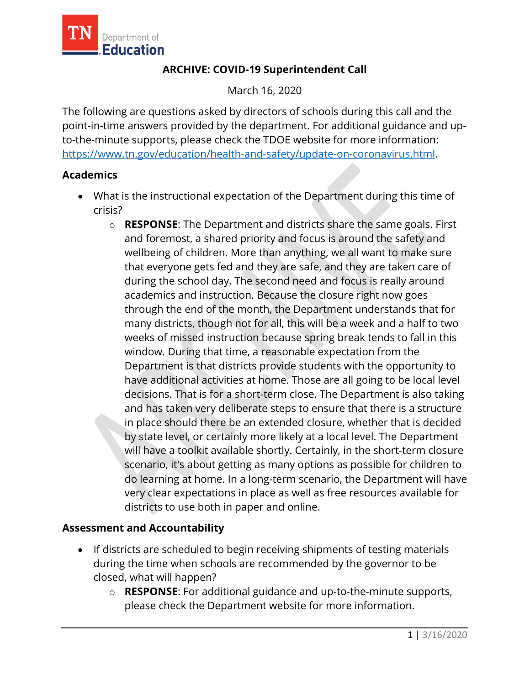

# **ARCHIVE: COVID-19 Superintendent Call**

March 16, 2020

The following are questions asked by directors of schools during this call and the point-in-time answers provided by the department. For additional guidance and upto-the-minute supports, please check the TDOE website for more information: [https://www.tn.gov/education/health-and-safety/update-on-coronavirus.html.](https://www.tn.gov/education/health-and-safety/update-on-coronavirus.html)

### **Academics**

- What is the instructional expectation of the Department during this time of crisis?
	- and foremost, a shared priority and focus is around the safety and weeks of missed instruction because spring break tends to fall in this o **RESPONSE**: The Department and districts share the same goals. First wellbeing of children. More than anything, we all want to make sure that everyone gets fed and they are safe, and they are taken care of during the school day. The second need and focus is really around academics and instruction. Because the closure right now goes through the end of the month, the Department understands that for many districts, though not for all, this will be a week and a half to two window. During that time, a reasonable expectation from the Department is that districts provide students with the opportunity to have additional activities at home. Those are all going to be local level decisions. That is for a short-term close. The Department is also taking and has taken very deliberate steps to ensure that there is a structure in place should there be an extended closure, whether that is decided by state level, or certainly more likely at a local level. The Department will have a toolkit available shortly. Certainly, in the short-term closure scenario, it's about getting as many options as possible for children to do learning at home. In a long-term scenario, the Department will have very clear expectations in place as well as free resources available for districts to use both in paper and online.

#### **Assessment and Accountability**

- If districts are scheduled to begin receiving shipments of testing materials during the time when schools are recommended by the governor to be closed, what will happen?
	- o **RESPONSE**: For additional guidance and up-to-the-minute supports, please check the Department website for more information.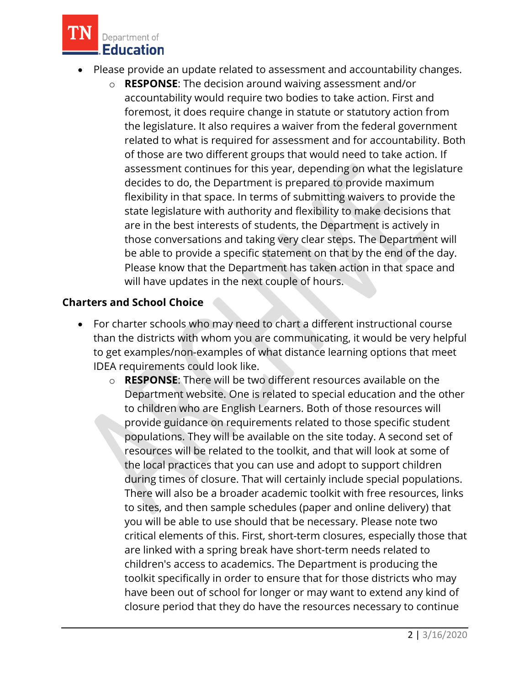

- Please provide an update related to assessment and accountability changes.
	- assessment continues for this year, depending on what the legislature be able to provide a specific statement on that by the end of the day. o **RESPONSE**: The decision around waiving assessment and/or accountability would require two bodies to take action. First and foremost, it does require change in statute or statutory action from the legislature. It also requires a waiver from the federal government related to what is required for assessment and for accountability. Both of those are two different groups that would need to take action. If decides to do, the Department is prepared to provide maximum flexibility in that space. In terms of submitting waivers to provide the state legislature with authority and flexibility to make decisions that are in the best interests of students, the Department is actively in those conversations and taking very clear steps. The Department will Please know that the Department has taken action in that space and will have updates in the next couple of hours.

# **Charters and School Choice**

- For charter schools who may need to chart a different instructional course than the districts with whom you are communicating, it would be very helpful to get examples/non-examples of what distance learning options that meet IDEA requirements could look like.
	- Department website. One is related to special education and the other resources will be related to the toolkit, and that will look at some of toolkit specifically in order to ensure that for those districts who may o **RESPONSE**: There will be two different resources available on the to children who are English Learners. Both of those resources will provide guidance on requirements related to those specific student populations. They will be available on the site today. A second set of the local practices that you can use and adopt to support children during times of closure. That will certainly include special populations. There will also be a broader academic toolkit with free resources, links to sites, and then sample schedules (paper and online delivery) that you will be able to use should that be necessary. Please note two critical elements of this. First, short-term closures, especially those that are linked with a spring break have short-term needs related to children's access to academics. The Department is producing the have been out of school for longer or may want to extend any kind of closure period that they do have the resources necessary to continue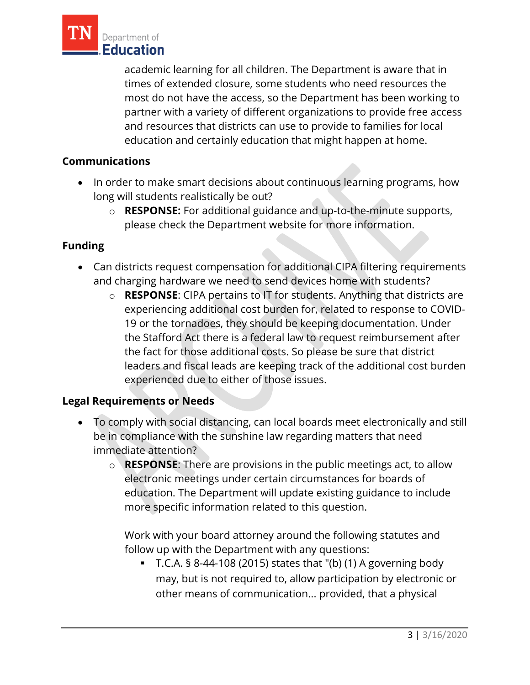

 times of extended closure, some students who need resources the most do not have the access, so the Department has been working to academic learning for all children. The Department is aware that in partner with a variety of different organizations to provide free access and resources that districts can use to provide to families for local education and certainly education that might happen at home.

### **Communications**

- long will students realistically be out? • In order to make smart decisions about continuous learning programs, how
	- o **RESPONSE:** For additional guidance and up-to-the-minute supports, please check the Department website for more information.

# **Funding**

- Can districts request compensation for additional CIPA filtering requirements and charging hardware we need to send devices home with students?
	- o **RESPONSE**: CIPA pertains to IT for students. Anything that districts are experiencing additional cost burden for, related to response to COVID-19 or the tornadoes, they should be keeping documentation. Under the Stafford Act there is a federal law to request reimbursement after the fact for those additional costs. So please be sure that district leaders and fiscal leads are keeping track of the additional cost burden experienced due to either of those issues.

#### **Legal Requirements or Needs**

- To comply with social distancing, can local boards meet electronically and still be in compliance with the sunshine law regarding matters that need immediate attention?
	- o **RESPONSE**: There are provisions in the public meetings act, to allow electronic meetings under certain circumstances for boards of education. The Department will update existing guidance to include more specific information related to this question.

Work with your board attorney around the following statutes and follow up with the Department with any questions:

 $\blacksquare$  T.C.A. § 8-44-108 (2015) states that "(b) (1) A governing body may, but is not required to, allow participation by electronic or other means of communication... provided, that a physical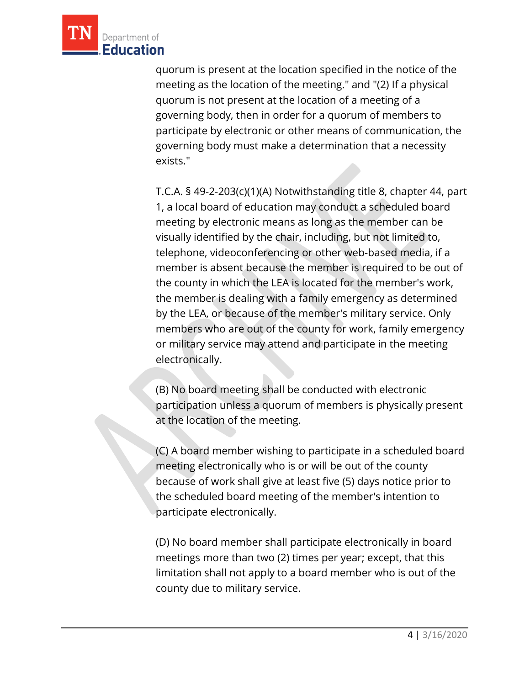

 quorum is not present at the location of a meeting of a quorum is present at the location specified in the notice of the meeting as the location of the meeting." and "(2) If a physical governing body, then in order for a quorum of members to participate by electronic or other means of communication, the governing body must make a determination that a necessity exists."

 member is absent because the member is required to be out of T.C.A. § 49-2-203(c)(1)(A) Notwithstanding title 8, chapter 44, part 1, a local board of education may conduct a scheduled board meeting by electronic means as long as the member can be visually identified by the chair, including, but not limited to, telephone, videoconferencing or other web-based media, if a the county in which the LEA is located for the member's work, the member is dealing with a family emergency as determined by the LEA, or because of the member's military service. Only members who are out of the county for work, family emergency or military service may attend and participate in the meeting electronically.

 at the location of the meeting. (B) No board meeting shall be conducted with electronic participation unless a quorum of members is physically present

 meeting electronically who is or will be out of the county (C) A board member wishing to participate in a scheduled board because of work shall give at least five (5) days notice prior to the scheduled board meeting of the member's intention to participate electronically.

 county due to military service. (D) No board member shall participate electronically in board meetings more than two (2) times per year; except, that this limitation shall not apply to a board member who is out of the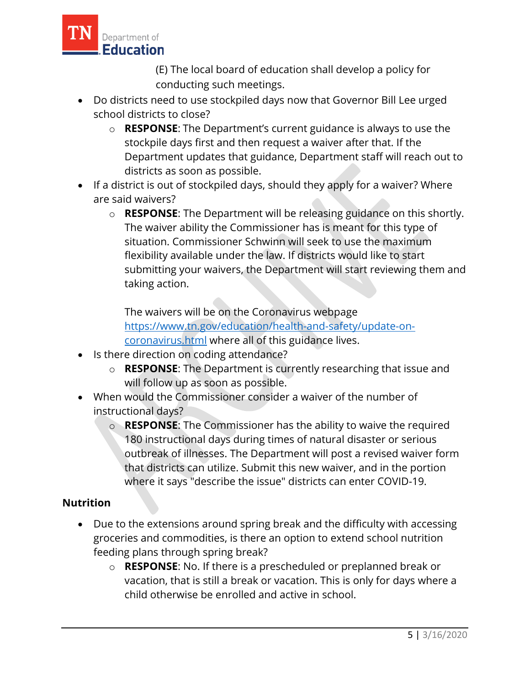

(E) The local board of education shall develop a policy for conducting such meetings.

- Do districts need to use stockpiled days now that Governor Bill Lee urged school districts to close?
	- o **RESPONSE**: The Department's current guidance is always to use the stockpile days first and then request a waiver after that. If the Department updates that guidance, Department staff will reach out to districts as soon as possible.
- If a district is out of stockpiled days, should they apply for a waiver? Where are said waivers?
	- The waiver ability the Commissioner has is meant for this type of o **RESPONSE**: The Department will be releasing guidance on this shortly. situation. Commissioner Schwinn will seek to use the maximum flexibility available under the law. If districts would like to start submitting your waivers, the Department will start reviewing them and taking action.

The waivers will be on the Coronavirus webpage [https://www.tn.gov/education/health-and-safety/update-on](https://www.tn.gov/education/health-and-safety/update-on-coronavirus.html)[coronavirus.html](https://www.tn.gov/education/health-and-safety/update-on-coronavirus.html) where all of this guidance lives.

- Is there direction on coding attendance?
	- o **RESPONSE**: The Department is currently researching that issue and will follow up as soon as possible.
- When would the Commissioner consider a waiver of the number of instructional days?
	- where it says "describe the issue" districts can enter COVID-19. o **RESPONSE**: The Commissioner has the ability to waive the required 180 instructional days during times of natural disaster or serious outbreak of illnesses. The Department will post a revised waiver form that districts can utilize. Submit this new waiver, and in the portion

# **Nutrition**

- Due to the extensions around spring break and the difficulty with accessing groceries and commodities, is there an option to extend school nutrition feeding plans through spring break?
	- o **RESPONSE**: No. If there is a prescheduled or preplanned break or vacation, that is still a break or vacation. This is only for days where a child otherwise be enrolled and active in school.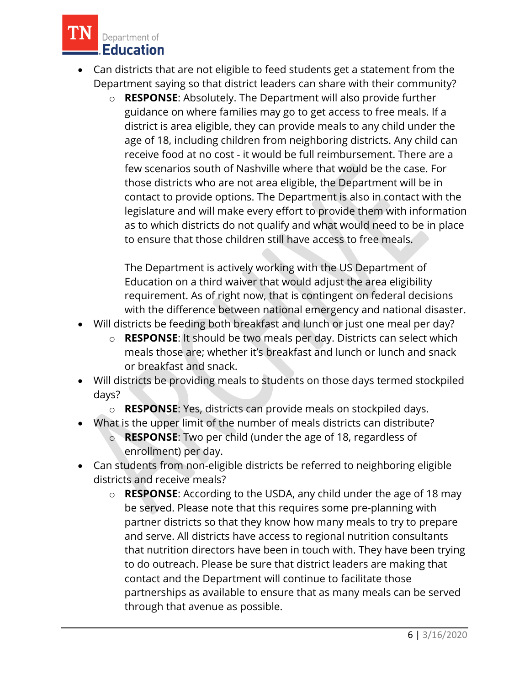

- Can districts that are not eligible to feed students get a statement from the Department saying so that district leaders can share with their community?
	- receive food at no cost it would be full reimbursement. There are a those districts who are not area eligible, the Department will be in as to which districts do not qualify and what would need to be in place o **RESPONSE**: Absolutely. The Department will also provide further guidance on where families may go to get access to free meals. If a district is area eligible, they can provide meals to any child under the age of 18, including children from neighboring districts. Any child can few scenarios south of Nashville where that would be the case. For contact to provide options. The Department is also in contact with the legislature and will make every effort to provide them with information to ensure that those children still have access to free meals.

The Department is actively working with the US Department of Education on a third waiver that would adjust the area eligibility requirement. As of right now, that is contingent on federal decisions with the difference between national emergency and national disaster.

- Will districts be feeding both breakfast and lunch or just one meal per day?
	- o **RESPONSE**: It should be two meals per day. Districts can select which meals those are; whether it's breakfast and lunch or lunch and snack or breakfast and snack.
- Will districts be providing meals to students on those days termed stockpiled days?
	- o **RESPONSE**: Yes, districts can provide meals on stockpiled days.
- What is the upper limit of the number of meals districts can distribute?
	- o **RESPONSE**: Two per child (under the age of 18, regardless of enrollment) per day.
- Can students from non-eligible districts be referred to neighboring eligible districts and receive meals?
	- partner districts so that they know how many meals to try to prepare o **RESPONSE**: According to the USDA, any child under the age of 18 may be served. Please note that this requires some pre-planning with and serve. All districts have access to regional nutrition consultants that nutrition directors have been in touch with. They have been trying to do outreach. Please be sure that district leaders are making that contact and the Department will continue to facilitate those partnerships as available to ensure that as many meals can be served through that avenue as possible.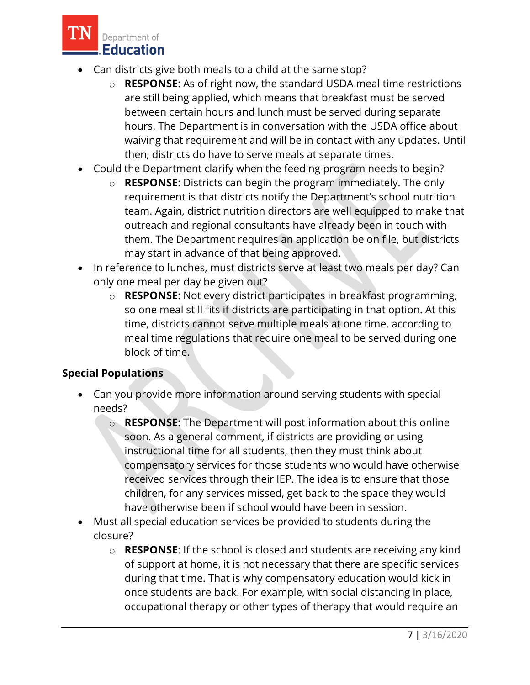

- Can districts give both meals to a child at the same stop?
	- o **RESPONSE**: As of right now, the standard USDA meal time restrictions are still being applied, which means that breakfast must be served between certain hours and lunch must be served during separate hours. The Department is in conversation with the USDA office about waiving that requirement and will be in contact with any updates. Until then, districts do have to serve meals at separate times.
- Could the Department clarify when the feeding program needs to begin?
	- them. The Department requires an application be on file, but districts o **RESPONSE**: Districts can begin the program immediately. The only requirement is that districts notify the Department's school nutrition team. Again, district nutrition directors are well equipped to make that outreach and regional consultants have already been in touch with may start in advance of that being approved.
- In reference to lunches, must districts serve at least two meals per day? Can only one meal per day be given out?
	- o **RESPONSE**: Not every district participates in breakfast programming, so one meal still fits if districts are participating in that option. At this time, districts cannot serve multiple meals at one time, according to meal time regulations that require one meal to be served during one block of time.

# **Special Populations**

- Can you provide more information around serving students with special needs?
	- o **RESPONSE**: The Department will post information about this online soon. As a general comment, if districts are providing or using instructional time for all students, then they must think about compensatory services for those students who would have otherwise received services through their IEP. The idea is to ensure that those children, for any services missed, get back to the space they would have otherwise been if school would have been in session.
- Must all special education services be provided to students during the closure?
	- once students are back. For example, with social distancing in place, occupational therapy or other types of therapy that would require an o **RESPONSE**: If the school is closed and students are receiving any kind of support at home, it is not necessary that there are specific services during that time. That is why compensatory education would kick in